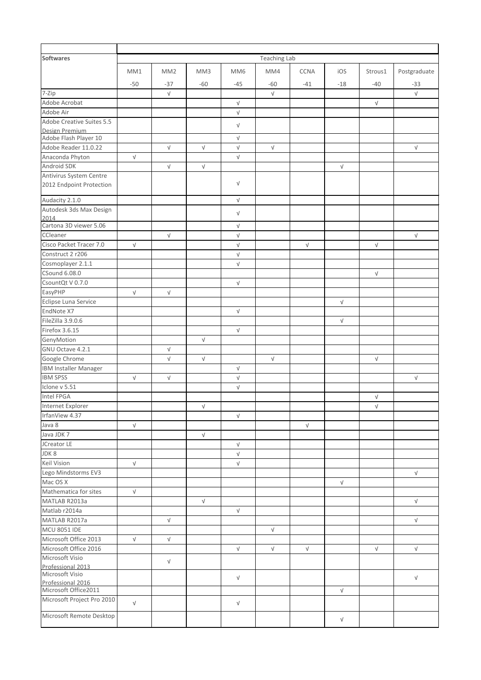| Softwares                                 | <b>Teaching Lab</b> |                 |            |                 |            |             |            |            |              |
|-------------------------------------------|---------------------|-----------------|------------|-----------------|------------|-------------|------------|------------|--------------|
|                                           | MM1                 | MM <sub>2</sub> | MM3        | MM <sub>6</sub> | MM4        | <b>CCNA</b> | iOS        | Strous1    | Postgraduate |
|                                           | $-50$               | $-37$           | $-60$      | $-45$           | $-60$      | $-41$       | $-18$      | $-40$      | $-33$        |
| 7-Zip                                     |                     | $\sqrt{ }$      |            |                 | $\sqrt{ }$ |             |            |            | $\sqrt{ }$   |
| Adobe Acrobat                             |                     |                 |            | $\sqrt{ }$      |            |             |            | $\sqrt{}$  |              |
| Adobe Air                                 |                     |                 |            | $\sqrt{ }$      |            |             |            |            |              |
| Adobe Creative Suites 5.5                 |                     |                 |            | V               |            |             |            |            |              |
| Design Premium                            |                     |                 |            |                 |            |             |            |            |              |
| Adobe Flash Player 10                     |                     |                 |            | $\sqrt{ }$      |            |             |            |            |              |
| Adobe Reader 11.0.22                      |                     | $\sqrt{ }$      | $\sqrt{ }$ | $\sqrt{ }$      | $\sqrt{ }$ |             |            |            | $\sqrt{ }$   |
| Anaconda Phyton                           | $\sqrt{ }$          |                 |            | $\sqrt{ }$      |            |             |            |            |              |
| Android SDK                               |                     | $\sqrt{ }$      | $\sqrt{ }$ |                 |            |             | $\sqrt{ }$ |            |              |
| Antivirus System Centre                   |                     |                 |            |                 |            |             |            |            |              |
| 2012 Endpoint Protection                  |                     |                 |            | V               |            |             |            |            |              |
| Audacity 2.1.0                            |                     |                 |            | $\sqrt{ }$      |            |             |            |            |              |
| Autodesk 3ds Max Design                   |                     |                 |            | $\sqrt{ }$      |            |             |            |            |              |
| 2014                                      |                     |                 |            |                 |            |             |            |            |              |
| Cartona 3D viewer 5.06                    |                     |                 |            | $\sqrt{}$       |            |             |            |            |              |
| CCleaner                                  |                     | $\sqrt{ }$      |            | $\sqrt{ }$      |            |             |            |            | $\sqrt{ }$   |
| Cisco Packet Tracer 7.0                   | $\sqrt{ }$          |                 |            | $\sqrt{ }$      |            | $\sqrt{ }$  |            | $\sqrt{ }$ |              |
| Construct 2 r206                          |                     |                 |            | V               |            |             |            |            |              |
| Cosmoplayer 2.1.1                         |                     |                 |            | $\sqrt{}$       |            |             |            |            |              |
| CSound 6.08.0                             |                     |                 |            |                 |            |             |            | $\sqrt{}$  |              |
| CsountQt V 0.7.0                          |                     |                 |            | $\sqrt{ }$      |            |             |            |            |              |
| EasyPHP                                   | $\sqrt{ }$          | $\sqrt{ }$      |            |                 |            |             |            |            |              |
| Eclipse Luna Service                      |                     |                 |            |                 |            |             | $\sqrt{ }$ |            |              |
| EndNote X7                                |                     |                 |            | $\sqrt{ }$      |            |             |            |            |              |
| FileZilla 3.9.0.6                         |                     |                 |            |                 |            |             | $\sqrt{ }$ |            |              |
| Firefox 3.6.15                            |                     |                 |            | $\sqrt{ }$      |            |             |            |            |              |
| GenyMotion                                |                     |                 | $\sqrt{ }$ |                 |            |             |            |            |              |
| GNU Octave 4.2.1                          |                     | V               |            |                 |            |             |            |            |              |
| Google Chrome                             |                     | $\sqrt{}$       | $\sqrt{ }$ |                 | $\sqrt{ }$ |             |            | $\sqrt{ }$ |              |
| <b>IBM Installer Manager</b>              |                     |                 |            | $\sqrt{}$       |            |             |            |            |              |
| <b>IBM SPSS</b>                           | $\sqrt{ }$          | $\sqrt{ }$      |            | $\sqrt{ }$      |            |             |            |            | $\sqrt{ }$   |
| Iclone v 5.51                             |                     |                 |            | V               |            |             |            |            |              |
| Intel FPGA                                |                     |                 |            |                 |            |             |            | $\sqrt{}$  |              |
| Internet Explorer                         |                     |                 | $\sqrt{ }$ |                 |            |             |            | $\sqrt{ }$ |              |
| IrfanView 4.37                            |                     |                 |            | $\sqrt{ }$      |            |             |            |            |              |
| Java 8                                    | $\sqrt{ }$          |                 |            |                 |            | $\sqrt{ }$  |            |            |              |
| Java JDK 7                                |                     |                 | $\sqrt{ }$ |                 |            |             |            |            |              |
| JCreator LE                               |                     |                 |            | $\sqrt{}$       |            |             |            |            |              |
| JDK8                                      |                     |                 |            | $\sqrt{}$       |            |             |            |            |              |
| <b>Keil Vision</b>                        | $\sqrt{ }$          |                 |            | $\sqrt{ }$      |            |             |            |            |              |
| Lego Mindstorms EV3                       |                     |                 |            |                 |            |             |            |            | $\sqrt{ }$   |
| Mac OS X                                  |                     |                 |            |                 |            |             | $\sqrt{ }$ |            |              |
| Mathematica for sites                     | $\sqrt{ }$          |                 |            |                 |            |             |            |            |              |
| MATLAB R2013a                             |                     |                 | $\sqrt{ }$ |                 |            |             |            |            | $\sqrt{ }$   |
| Matlab r2014a                             |                     |                 |            | $\sqrt{ }$      |            |             |            |            |              |
| MATLAB R2017a                             |                     | $\sqrt{ }$      |            |                 |            |             |            |            | $\sqrt{ }$   |
| <b>MCU 8051 IDE</b>                       |                     |                 |            |                 | $\sqrt{ }$ |             |            |            |              |
| Microsoft Office 2013                     | $\sqrt{ }$          | $\sqrt{ }$      |            |                 |            |             |            |            |              |
| Microsoft Office 2016                     |                     |                 |            | $\sqrt{ }$      | $\sqrt{ }$ | $\sqrt{ }$  |            | $\sqrt{ }$ | $\sqrt{ }$   |
| Microsoft Visio                           |                     |                 |            |                 |            |             |            |            |              |
| Professional 2013                         |                     | $\sqrt{}$       |            |                 |            |             |            |            |              |
| Microsoft Visio                           |                     |                 |            | $\sqrt{ }$      |            |             |            |            | $\sqrt{ }$   |
| Professional 2016<br>Microsoft Office2011 |                     |                 |            |                 |            |             |            |            |              |
|                                           |                     |                 |            |                 |            |             | $\sqrt{ }$ |            |              |
| Microsoft Project Pro 2010                | $\sqrt{ }$          |                 |            | $\sqrt{ }$      |            |             |            |            |              |
| Microsoft Remote Desktop                  |                     |                 |            |                 |            |             | $\sqrt{ }$ |            |              |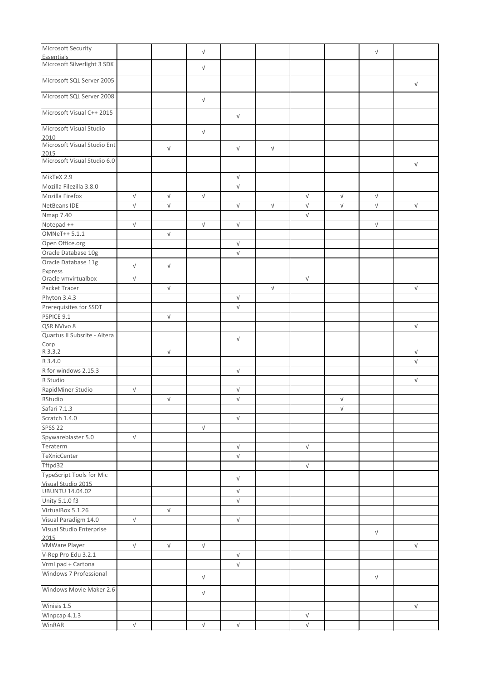| Microsoft Security                  |            |            | $\sqrt{ }$ |                      |            |            |            | $\sqrt{ }$ |            |
|-------------------------------------|------------|------------|------------|----------------------|------------|------------|------------|------------|------------|
| <b>Essentials</b>                   |            |            |            |                      |            |            |            |            |            |
| Microsoft Silverlight 3 SDK         |            |            | $\sqrt{ }$ |                      |            |            |            |            |            |
| Microsoft SQL Server 2005           |            |            |            |                      |            |            |            |            | $\sqrt{ }$ |
| Microsoft SQL Server 2008           |            |            | $\sqrt{ }$ |                      |            |            |            |            |            |
| Microsoft Visual C++ 2015           |            |            |            | $\sqrt{ }$           |            |            |            |            |            |
| Microsoft Visual Studio             |            |            | $\sqrt{ }$ |                      |            |            |            |            |            |
| 2010                                |            |            |            |                      |            |            |            |            |            |
| Microsoft Visual Studio Ent<br>2015 |            | $\sqrt{ }$ |            | $\sqrt{ }$           | $\sqrt{ }$ |            |            |            |            |
| Microsoft Visual Studio 6.0         |            |            |            |                      |            |            |            |            | $\sqrt{ }$ |
| MikTeX 2.9                          |            |            |            | $\sqrt{ }$           |            |            |            |            |            |
| Mozilla Filezilla 3.8.0             |            |            |            | $\sqrt{ }$           |            |            |            |            |            |
| Mozilla Firefox                     | $\sqrt{ }$ | $\sqrt{ }$ | $\sqrt{ }$ |                      |            | $\sqrt{ }$ | $\sqrt{ }$ | $\sqrt{ }$ |            |
| NetBeans IDE                        | $\sqrt{ }$ | $\sqrt{ }$ |            | $\sqrt{ }$           | $\sqrt{ }$ | $\sqrt{ }$ | $\sqrt{ }$ | $\sqrt{ }$ | $\sqrt{ }$ |
| <b>Nmap 7.40</b>                    |            |            |            |                      |            | $\sqrt{ }$ |            |            |            |
| Notepad ++                          | $\sqrt{ }$ |            | $\sqrt{ }$ | $\sqrt{ }$           |            |            |            | $\sqrt{ }$ |            |
| OMNeT++ 5.1.1                       |            | $\sqrt{ }$ |            |                      |            |            |            |            |            |
| Open Office.org                     |            |            |            | $\sqrt{ }$           |            |            |            |            |            |
| Oracle Database 10g                 |            |            |            |                      |            |            |            |            |            |
|                                     |            |            |            | $\sqrt{ }$           |            |            |            |            |            |
| Oracle Database 11g                 | $\sqrt{ }$ | $\sqrt{}$  |            |                      |            |            |            |            |            |
| Express<br>Oracle vmvirtualbox      | $\sqrt{ }$ |            |            |                      |            | $\sqrt{ }$ |            |            |            |
| Packet Tracer                       |            | $\sqrt{ }$ |            |                      | $\sqrt{ }$ |            |            |            | $\sqrt{ }$ |
|                                     |            |            |            |                      |            |            |            |            |            |
| Phyton 3.4.3                        |            |            |            | $\sqrt{ }$           |            |            |            |            |            |
| Prerequisites for SSDT              |            |            |            | $\sqrt{ }$           |            |            |            |            |            |
| PSPICE 9.1                          |            | $\sqrt{ }$ |            |                      |            |            |            |            |            |
| QSR NVivo 8                         |            |            |            |                      |            |            |            |            | $\sqrt{ }$ |
| Quartus II Subsrite - Altera        |            |            |            | V                    |            |            |            |            |            |
| Corp<br>R 3.3.2                     |            |            |            |                      |            |            |            |            |            |
|                                     |            | $\sqrt{ }$ |            |                      |            |            |            |            | $\sqrt{ }$ |
| R 3.4.0                             |            |            |            |                      |            |            |            |            | $\sqrt{ }$ |
| R for windows 2.15.3                |            |            |            | $\sqrt{ }$           |            |            |            |            |            |
| R Studio                            |            |            |            |                      |            |            |            |            | $\sqrt{ }$ |
| RapidMiner Studio                   | $\sqrt{ }$ |            |            | V                    |            |            |            |            |            |
| RStudio                             |            | $\sqrt{ }$ |            | $\sqrt{ }$           |            |            | $\sqrt{ }$ |            |            |
| Safari 7.1.3                        |            |            |            |                      |            |            | $\sqrt{ }$ |            |            |
| Scratch 1.4.0                       |            |            |            | $\sqrt{ }$           |            |            |            |            |            |
| <b>SPSS 22</b>                      |            |            | $\sqrt{ }$ |                      |            |            |            |            |            |
| Spywareblaster 5.0                  | $\sqrt{ }$ |            |            |                      |            |            |            |            |            |
| Teraterm                            |            |            |            | $\sqrt{ }$           |            | $\sqrt{ }$ |            |            |            |
| TeXnicCenter                        |            |            |            | $\sqrt{ }$           |            |            |            |            |            |
| Tftpd32                             |            |            |            |                      |            |            |            |            |            |
| TypeScript Tools for Mic            |            |            |            |                      |            | $\sqrt{ }$ |            |            |            |
| Visual Studio 2015                  |            |            |            | V                    |            |            |            |            |            |
| <b>UBUNTU 14.04.02</b>              |            |            |            | $\sqrt{ }$           |            |            |            |            |            |
| Unity 5.1.0 f3                      |            |            |            | $\sqrt{}$            |            |            |            |            |            |
| VirtualBox 5.1.26                   |            | $\sqrt{ }$ |            |                      |            |            |            |            |            |
| Visual Paradigm 14.0                | $\sqrt{ }$ |            |            | $\sqrt{ }$           |            |            |            |            |            |
| Visual Studio Enterprise            |            |            |            |                      |            |            |            |            |            |
|                                     |            |            |            |                      |            |            |            | $\sqrt{ }$ |            |
| 2015<br>VMWare Player               | $\sqrt{ }$ | $\sqrt{ }$ | $\sqrt{ }$ |                      |            |            |            |            | $\sqrt{ }$ |
| V-Rep Pro Edu 3.2.1                 |            |            |            | $\sqrt{ }$           |            |            |            |            |            |
| Vrml pad + Cartona                  |            |            |            | $\sqrt{ }$           |            |            |            |            |            |
|                                     |            |            |            |                      |            |            |            |            |            |
| Windows 7 Professional              |            |            | $\sqrt{ }$ |                      |            |            |            | $\sqrt{ }$ |            |
| Windows Movie Maker 2.6             |            |            | $\sqrt{ }$ |                      |            |            |            |            |            |
| Winisis 1.5                         |            |            |            |                      |            |            |            |            | $\sqrt{ }$ |
| Winpcap 4.1.3                       |            |            |            |                      |            | $\sqrt{ }$ |            |            |            |
| WinRAR                              | $\sqrt{ }$ |            | $\sqrt{ }$ | $\sqrt{\phantom{a}}$ |            | $\sqrt{}$  |            |            |            |